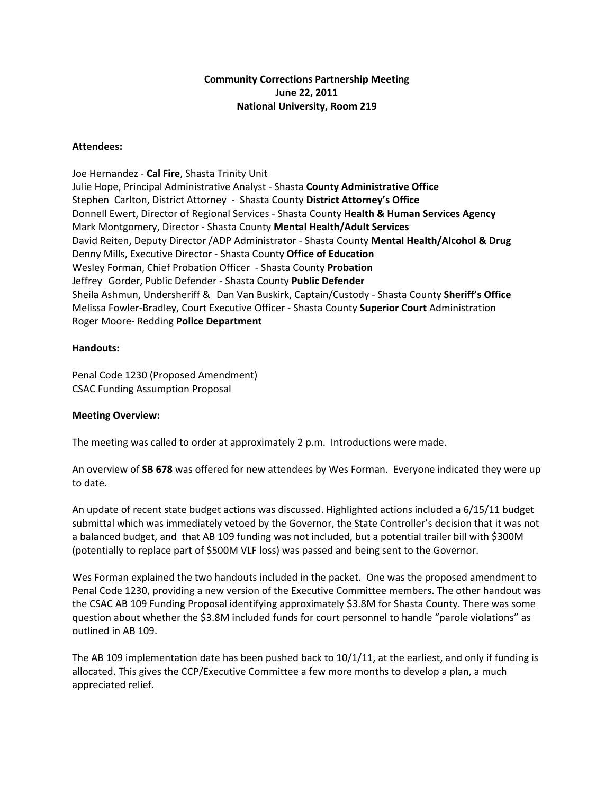# **Community Corrections Partnership Meeting June 22, 2011 National University, Room 219**

## **Attendees:**

Joe Hernandez ‐ **Cal Fire**, Shasta Trinity Unit Julie Hope, Principal Administrative Analyst ‐ Shasta **County Administrative Office**  Stephen Carlton, District Attorney ‐ Shasta County **District Attorney's Office** Donnell Ewert, Director of Regional Services ‐ Shasta County **Health & Human Services Agency** Mark Montgomery, Director ‐ Shasta County **Mental Health/Adult Services** David Reiten, Deputy Director /ADP Administrator ‐ Shasta County **Mental Health/Alcohol & Drug**  Denny Mills, Executive Director ‐ Shasta County **Office of Education** Wesley Forman, Chief Probation Officer ‐ Shasta County **Probation** Jeffrey Gorder, Public Defender ‐ Shasta County **Public Defender** Sheila Ashmun, Undersheriff & Dan Van Buskirk, Captain/Custody ‐ Shasta County **Sheriff's Office** Melissa Fowler‐Bradley, Court Executive Officer ‐ Shasta County **Superior Court** Administration Roger Moore‐ Redding **Police Department**

## **Handouts:**

Penal Code 1230 (Proposed Amendment) CSAC Funding Assumption Proposal

### **Meeting Overview:**

The meeting was called to order at approximately 2 p.m. Introductions were made.

An overview of **SB 678** was offered for new attendees by Wes Forman. Everyone indicated they were up to date.

An update of recent state budget actions was discussed. Highlighted actions included a 6/15/11 budget submittal which was immediately vetoed by the Governor, the State Controller's decision that it was not a balanced budget, and that AB 109 funding was not included, but a potential trailer bill with \$300M (potentially to replace part of \$500M VLF loss) was passed and being sent to the Governor.

Wes Forman explained the two handouts included in the packet. One was the proposed amendment to Penal Code 1230, providing a new version of the Executive Committee members. The other handout was the CSAC AB 109 Funding Proposal identifying approximately \$3.8M for Shasta County. There was some question about whether the \$3.8M included funds for court personnel to handle "parole violations" as outlined in AB 109.

The AB 109 implementation date has been pushed back to 10/1/11, at the earliest, and only if funding is allocated. This gives the CCP/Executive Committee a few more months to develop a plan, a much appreciated relief.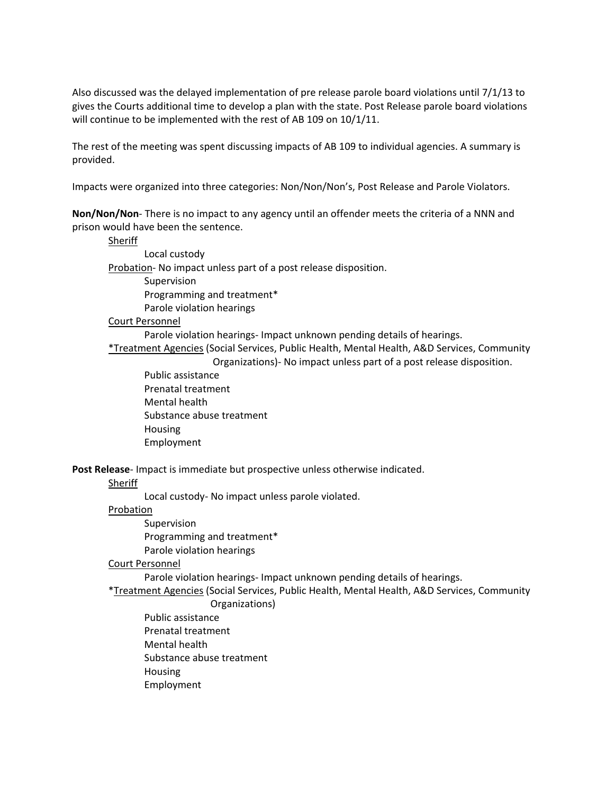Also discussed was the delayed implementation of pre release parole board violations until 7/1/13 to gives the Courts additional time to develop a plan with the state. Post Release parole board violations will continue to be implemented with the rest of AB 109 on 10/1/11.

The rest of the meeting was spent discussing impacts of AB 109 to individual agencies. A summary is provided.

Impacts were organized into three categories: Non/Non/Non's, Post Release and Parole Violators.

**Non/Non/Non**‐ There is no impact to any agency until an offender meets the criteria of a NNN and prison would have been the sentence.

Sheriff Local custody Probation- No impact unless part of a post release disposition. Supervision Programming and treatment\* Parole violation hearings

#### Court Personnel

Parole violation hearings‐ Impact unknown pending details of hearings.

\*Treatment Agencies (Social Services, Public Health, Mental Health, A&D Services, Community Organizations)‐ No impact unless part of a post release disposition.

Public assistance Prenatal treatment Mental health Substance abuse treatment Housing Employment

**Post Release**‐ Impact is immediate but prospective unless otherwise indicated.

#### **Sheriff**

Local custody‐ No impact unless parole violated.

Probation

Supervision Programming and treatment\* Parole violation hearings

### Court Personnel

Parole violation hearings‐ Impact unknown pending details of hearings.

\*Treatment Agencies (Social Services, Public Health, Mental Health, A&D Services, Community

### Organizations)

Public assistance Prenatal treatment Mental health Substance abuse treatment Housing Employment